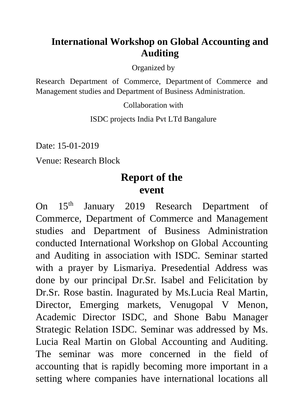## **International Workshop on Global Accounting and Auditing**

Organized by

Research Department of Commerce, Department of Commerce and Management studies and Department of Business Administration.

Collaboration with

ISDC projects India Pvt LTd Bangalure

Date: 15-01-2019

Venue: Research Block

## **Report of the event**

On 15<sup>th</sup> January 2019 Research Department of Commerce, Department of Commerce and Management studies and Department of Business Administration conducted International Workshop on Global Accounting and Auditing in association with ISDC. Seminar started with a prayer by Lismariya. Presedential Address was done by our principal Dr.Sr. Isabel and Felicitation by Dr.Sr. Rose bastin. Inagurated by Ms.Lucia Real Martin, Director, Emerging markets, Venugopal V Menon, Academic Director ISDC, and Shone Babu Manager Strategic Relation ISDC. Seminar was addressed by Ms. Lucia Real Martin on Global Accounting and Auditing. The seminar was more concerned in the field of accounting that is rapidly becoming more important in a setting where companies have international locations all